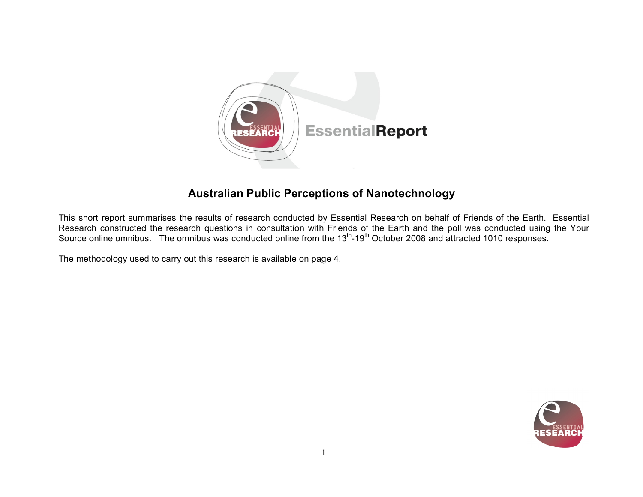

# **Australian Public Perceptions of Nanotechnology**

This short report summarises the results of research conducted by Essential Research on behalf of Friends of the Earth. Essential Research constructed the research questions in consultation with Friends of the Earth and the poll was conducted using the Your Source online omnibus. The omnibus was conducted online from the 13<sup>th</sup>-19<sup>th</sup> October 2008 and attracted 1010 responses.

The methodology used to carry out this research is available on page 4.

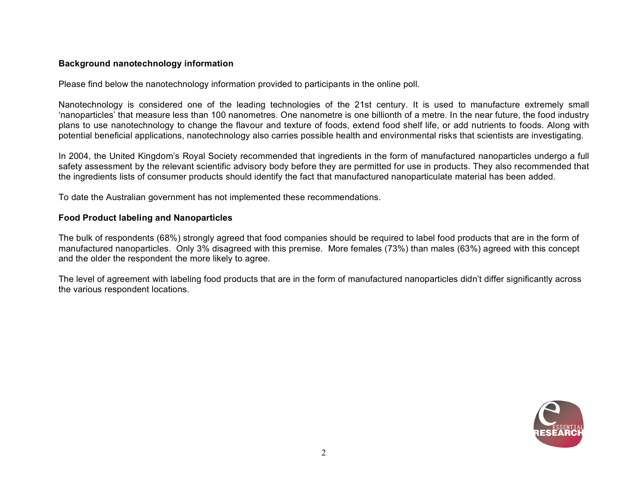### **Background nanotechnology information**

Please find below the nanotechnology information provided to participants in the online poll.

Nanotechnology is considered one of the leading technologies of the 21st century. It is used to manufacture extremely small 'nanoparticles' that measure less than 100 nanometres. One nanometre is one billionth of a metre. In the near future, the food industry plans to use nanotechnology to change the flavour and texture of foods, extend food shelf life, or add nutrients to foods. Along with potential beneficial applications, nanotechnology also carries possible health and environmental risks that scientists are investigating.

In 2004, the United Kingdom's Royal Society recommended that ingredients in the form of manufactured nanoparticles undergo a full safety assessment by the relevant scientific advisory body before they are permitted for use in products. They also recommended that the ingredients lists of consumer products should identify the fact that manufactured nanoparticulate material has been added.

To date the Australian government has not implemented these recommendations.

## **Food Product labeling and Nanoparticles**

The bulk of respondents (68%) strongly agreed that food companies should be required to label food products that are in the form of manufactured nanoparticles. Only 3% disagreed with this premise. More females (73%) than males (63%) agreed with this concept and the older the respondent the more likely to agree.

The level of agreement with labeling food products that are in the form of manufactured nanoparticles didn't differ significantly across the various respondent locations.

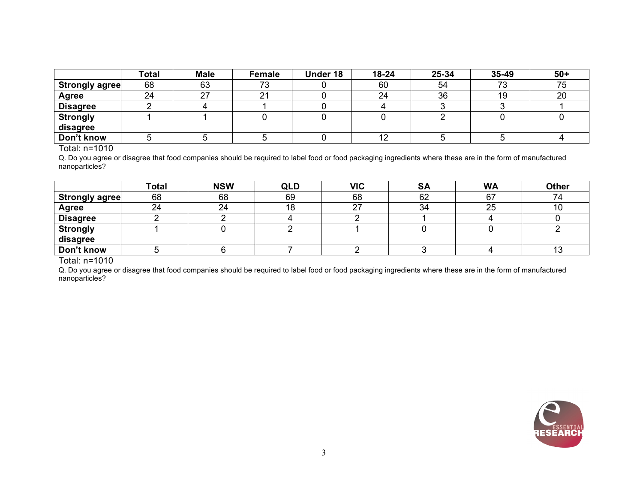|                 | Total | <b>Male</b> | <b>Female</b> | Under 18 | 18-24 | 25-34 | $35 - 49$                | $50+$ |
|-----------------|-------|-------------|---------------|----------|-------|-------|--------------------------|-------|
| Strongly agree  | 68    | 63          | フつ<br>د ،     |          | 60    | 54    | $\overline{\phantom{a}}$ |       |
| Agree           | 24    | ົ           | $\mathcal{L}$ |          | 24    | 36    | l Ə                      | 20    |
| <b>Disagree</b> |       |             |               |          |       |       |                          |       |
| <b>Strongly</b> |       |             |               |          |       |       |                          |       |
| disagree        |       |             |               |          |       |       |                          |       |
| Don't know      |       |             |               |          | ے ا   |       |                          |       |

#### Total: n=1010

Q. Do you agree or disagree that food companies should be required to label food or food packaging ingredients where these are in the form of manufactured nanoparticles?

|                       | <b>Total</b> | <b>NSW</b> | <b>QLD</b> | <b>VIC</b> | <b>SA</b> | <b>WA</b> | <b>Other</b> |
|-----------------------|--------------|------------|------------|------------|-----------|-----------|--------------|
| <b>Strongly agree</b> | 68           | 68         | 69         | 68         | 62        |           |              |
| Agree                 | 24           | 24         |            | 27         | 34        | 25        |              |
| <b>Disagree</b>       |              |            |            |            |           |           |              |
| <b>Strongly</b>       |              |            |            |            |           |           |              |
| disagree              |              |            |            |            |           |           |              |
| Don't know            |              |            |            |            |           |           |              |

Total: n=1010

Q. Do you agree or disagree that food companies should be required to label food or food packaging ingredients where these are in the form of manufactured nanoparticles?

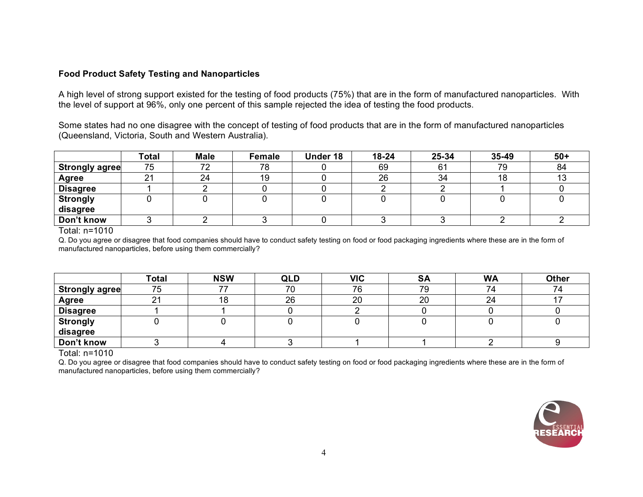## **Food Product Safety Testing and Nanoparticles**

A high level of strong support existed for the testing of food products (75%) that are in the form of manufactured nanoparticles. With the level of support at 96%, only one percent of this sample rejected the idea of testing the food products.

Some states had no one disagree with the concept of testing of food products that are in the form of manufactured nanoparticles (Queensland, Victoria, South and Western Australia).

|                       | Total         | <b>Male</b> | <b>Female</b> | Under 18 | $18 - 24$ | 25-34          | 35-49 | $50+$ |
|-----------------------|---------------|-------------|---------------|----------|-----------|----------------|-------|-------|
| <b>Strongly agree</b> | 75            | 70          | 78            |          | 69        | 6 <sup>1</sup> | 79    | 84    |
| <b>Agree</b>          | ີ<br><u>_</u> | 24          | 19            |          | 26        | 34             | 18    | ∪ו    |
| <b>Disagree</b>       |               |             |               |          |           |                |       |       |
| <b>Strongly</b>       |               |             |               |          |           |                |       |       |
| disagree              |               |             |               |          |           |                |       |       |
| Don't know            |               |             |               |          |           |                |       |       |

Total: n=1010

Q. Do you agree or disagree that food companies should have to conduct safety testing on food or food packaging ingredients where these are in the form of manufactured nanoparticles, before using them commercially?

|                       | <b>Total</b> | <b>NSW</b> | <b>QLD</b> | <b>VIC</b> | <b>SA</b> | <b>WA</b> | <b>Other</b> |
|-----------------------|--------------|------------|------------|------------|-----------|-----------|--------------|
| <b>Strongly agree</b> | 75           |            | 70         | 76         | 79        |           | 74           |
| Agree                 | 21           | טו         | 26         | 20         | 20        | 24        |              |
| <b>Disagree</b>       |              |            |            |            |           |           |              |
| <b>Strongly</b>       |              |            |            |            |           |           |              |
| disagree              |              |            |            |            |           |           |              |
| Don't know            |              |            |            |            |           |           |              |

Total: n=1010

Q. Do you agree or disagree that food companies should have to conduct safety testing on food or food packaging ingredients where these are in the form of manufactured nanoparticles, before using them commercially?

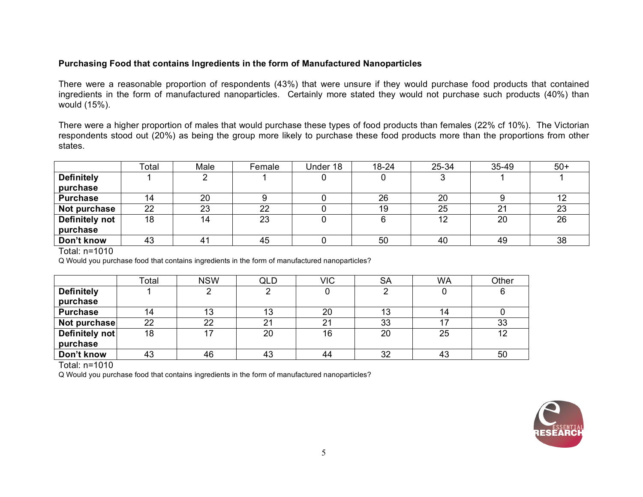### **Purchasing Food that contains Ingredients in the form of Manufactured Nanoparticles**

There were a reasonable proportion of respondents (43%) that were unsure if they would purchase food products that contained ingredients in the form of manufactured nanoparticles. Certainly more stated they would not purchase such products (40%) than would (15%).

There were a higher proportion of males that would purchase these types of food products than females (22% cf 10%). The Victorian respondents stood out (20%) as being the group more likely to purchase these food products more than the proportions from other states.

|                       | Total | Male                  | Female | Under 18 | $18 - 24$ | 25-34 | 35-49 | $50+$ |
|-----------------------|-------|-----------------------|--------|----------|-----------|-------|-------|-------|
| <b>Definitely</b>     |       |                       |        |          |           |       |       |       |
| purchase              |       |                       |        |          |           |       |       |       |
| <b>Purchase</b>       |       | 20                    |        |          | 26        | 20    |       |       |
| Not purchase          | 22    | 23                    | 22     |          | 19        | 25    | 21    | 23    |
| <b>Definitely not</b> | 18    | 14                    | 23     |          |           | 12    | 20    | 26    |
| purchase              |       |                       |        |          |           |       |       |       |
| Don't know            | 43    | $\mathbf{4}^{\prime}$ | 45     |          | 50        | 40    | 49    | 38    |

Total: n=1010

Q Would you purchase food that contains ingredients in the form of manufactured nanoparticles?

|                   | Total | <b>NSW</b> | QLD | <b>VIC</b>     | <b>SA</b> | <b>WA</b> | Other |
|-------------------|-------|------------|-----|----------------|-----------|-----------|-------|
| <b>Definitely</b> |       |            |     |                |           |           |       |
| purchase          |       |            |     |                |           |           |       |
| <b>Purchase</b>   | 14    | 13         |     | 20             | 13        |           |       |
| Not purchase      | 22    | 22         | 21  | 2 <sup>1</sup> | 33        |           | 33    |
| Definitely not    | 18    | 17         | 20  | 16             | 20        | 25        | 12    |
| purchase          |       |            |     |                |           |           |       |
| Don't know        | 43    | 46         | 43  | 44             | 32        | 43        | 50    |

Total: n=1010

Q Would you purchase food that contains ingredients in the form of manufactured nanoparticles?